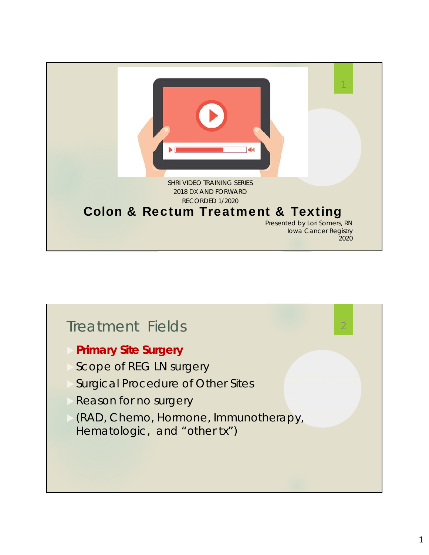

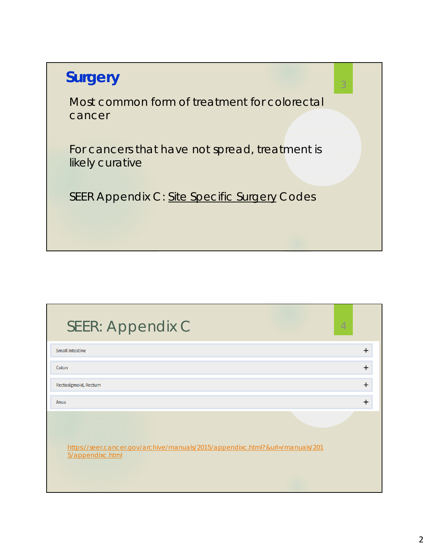| <b>Surgery</b> |  |
|----------------|--|
|----------------|--|

Most common form of treatment for colorectal cancer

3

For cancers that have not spread, treatment is likely curative

SEER Appendix C: Site Specific Surgery Codes

| <b>SEER: Appendix C</b><br>$\overline{A}$                                                         |           |
|---------------------------------------------------------------------------------------------------|-----------|
| Small Intestine                                                                                   | +         |
| Colon                                                                                             | $\,{}^+$  |
| Rectosigmoid, Rectum                                                                              | $\,{}^+$  |
| Anus                                                                                              | $\ddot{}$ |
| https://seer.cancer.gov/archive/manuals/2015/appendixc.html?&url=/manuals/201<br>5/appendixc.html |           |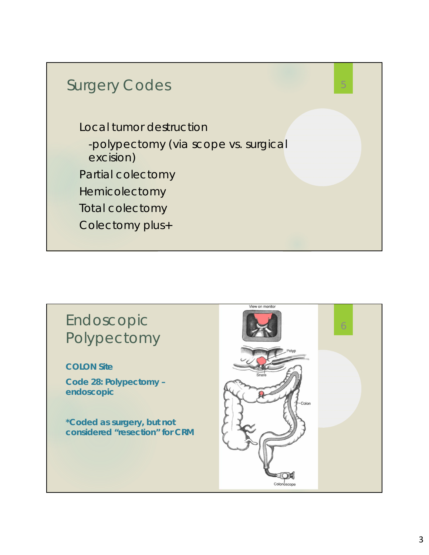

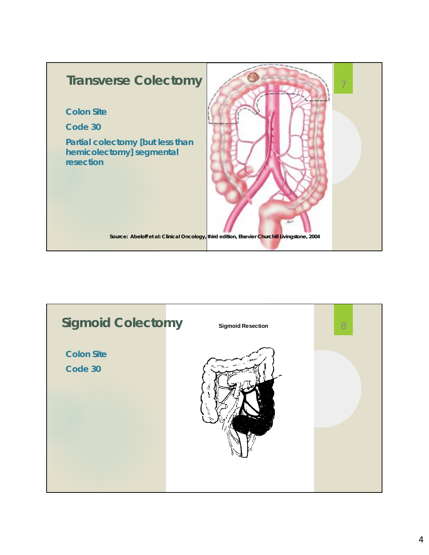

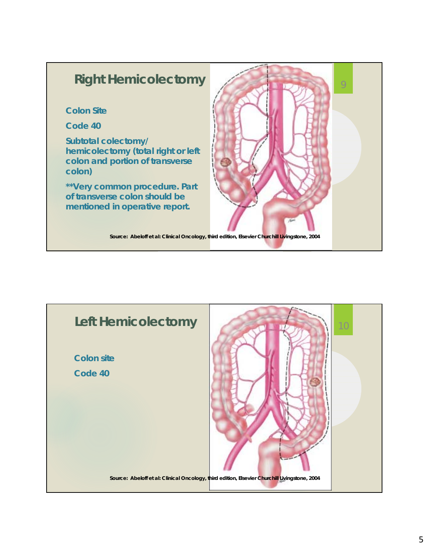### **Right Hemicolectomy**

#### **Colon Site**

**Code 40** 

**Subtotal colectomy/ hemicolectomy (total right or left colon and portion of transverse colon)**

**\*\*Very common procedure. Part of transverse colon should be mentioned in operative report.**



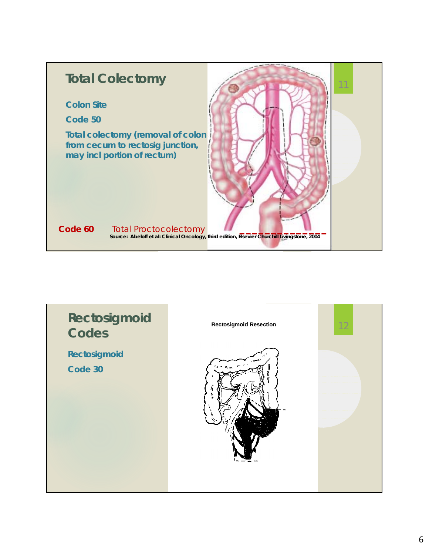

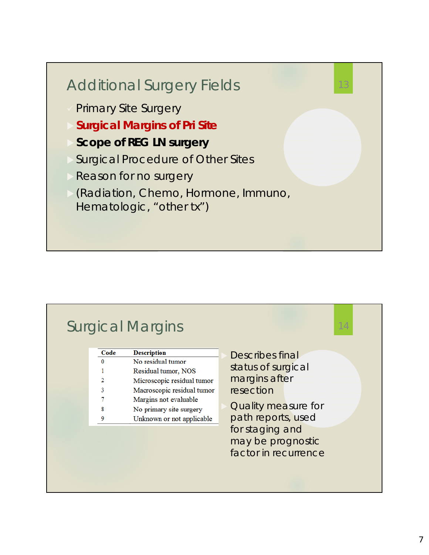# Additional Surgery Fields

- Primary Site Surgery
- **Surgical Margins of Pri Site**
- *Scope of REG LN surgery*
- Surgical Procedure of Other Sites
- Reason for no surgery
- (Radiation, Chemo, Hormone, Immuno, Hematologic, "other tx")

## Surgical Margins

| Code | <b>Description</b>         |
|------|----------------------------|
|      | No residual tumor          |
| 1    | Residual tumor, NOS        |
| 2    | Microscopic residual tumor |
| 3    | Macroscopic residual tumor |
| 7    | Margins not evaluable      |
| 8    | No primary site surgery    |
| ٥    | Unknown or not applicable  |

 Describes final status of surgical margins after resection

13

14

 Quality measure for path reports, used for staging and may be prognostic factor in recurrence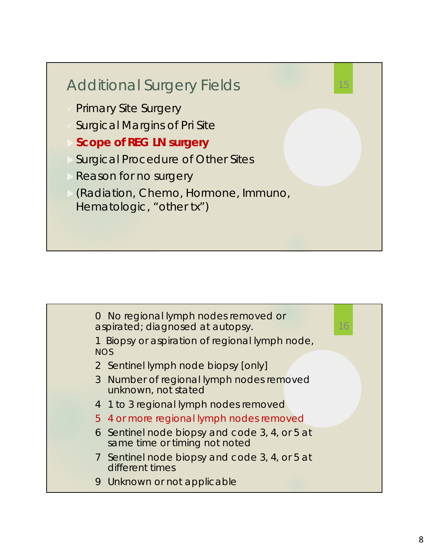

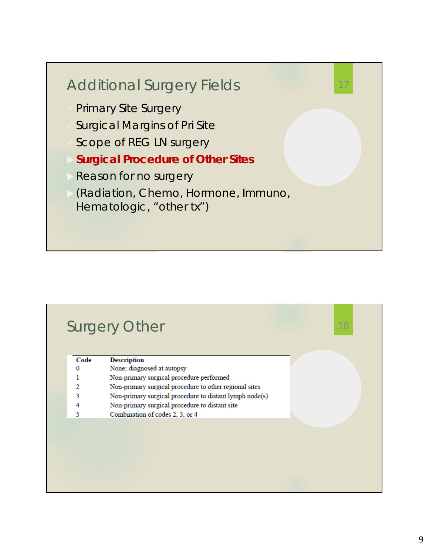# Additional Surgery Fields

- Primary Site Surgery
- Surgical Margins of Pri Site
- Scope of REG LN surgery
- *Surgical Procedure of Other Sites*
- Reason for no surgery
- (Radiation, Chemo, Hormone, Immuno, Hematologic, "other tx")

# **Surgery Other**

| <b>Description</b>                                      |  |
|---------------------------------------------------------|--|
| None; diagnosed at autopsy                              |  |
| Non-primary surgical procedure performed                |  |
| Non-primary surgical procedure to other regional sites  |  |
| Non-primary surgical procedure to distant lymph node(s) |  |
| Non-primary surgical procedure to distant site          |  |
| Combination of codes 2, 3, or 4                         |  |
|                                                         |  |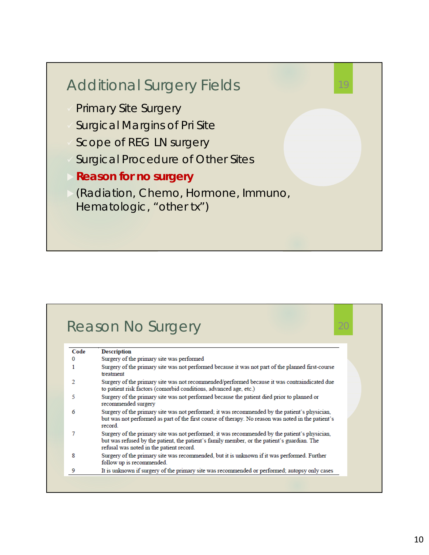# Additional Surgery Fields

- Primary Site Surgery
- Surgical Margins of Pri Site
- Scope of REG LN surgery
- Surgical Procedure of Other Sites
- *Reason for no surgery*
- (Radiation, Chemo, Hormone, Immuno, Hematologic, "other tx")

## Reason No Surgery

| Code | <b>Description</b>                                                                                                                                                                                                                       |
|------|------------------------------------------------------------------------------------------------------------------------------------------------------------------------------------------------------------------------------------------|
| 0    | Surgery of the primary site was performed                                                                                                                                                                                                |
| 1    | Surgery of the primary site was not performed because it was not part of the planned first-course<br>treatment                                                                                                                           |
| 2    | Surgery of the primary site was not recommended/performed because it was contraindicated due<br>to patient risk factors (comorbid conditions, advanced age, etc.)                                                                        |
| 5    | Surgery of the primary site was not performed because the patient died prior to planned or<br>recommended surgery                                                                                                                        |
| 6    | Surgery of the primary site was not performed; it was recommended by the patient's physician,<br>but was not performed as part of the first course of therapy. No reason was noted in the patient's<br>record.                           |
| 7    | Surgery of the primary site was not performed; it was recommended by the patient's physician,<br>but was refused by the patient, the patient's family member, or the patient's guardian. The<br>refusal was noted in the patient record. |
| 8    | Surgery of the primary site was recommended, but it is unknown if it was performed. Further<br>follow up is recommended.                                                                                                                 |
| 9    | It is unknown if surgery of the primary site was recommended or performed; autopsy only cases                                                                                                                                            |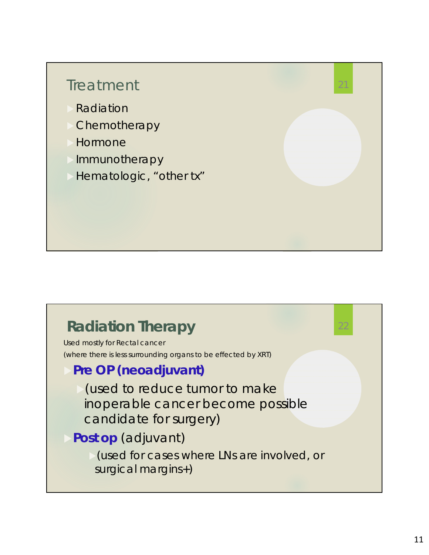# **Treatment**

- Radiation
- **Chemotherapy**
- Hormone
- Immunotherapy
- Hematologic, "other tx"

### **Radiation Therapy**

Used mostly for Rectal cancer (where there is less surrounding organs to be effected by XRT)

#### **Pre OP (neoadjuvant)**

(used to reduce tumor to make inoperable cancer become possible candidate for surgery)

### **Post op** (adjuvant)

(used for cases where LNs are involved, or surgical margins+)

21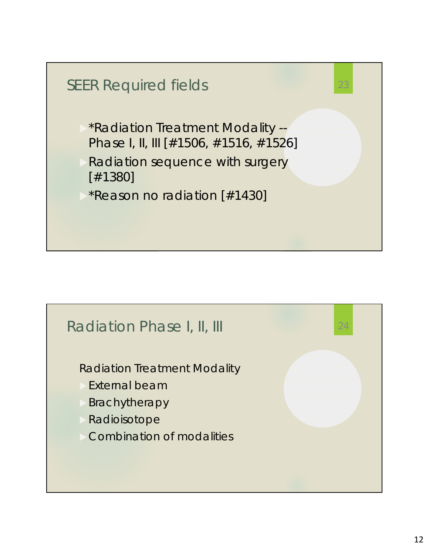



Radiation Treatment Modality

- External beam
- Brachytherapy
- Radioisotope
- Combination of modalities

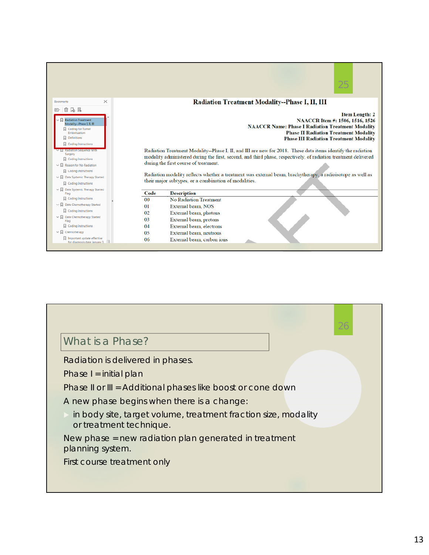|                                                                                                                                                                                                                     |          | 25                                                                                                                                                                                                                                                                                                                                                                                                                                               |
|---------------------------------------------------------------------------------------------------------------------------------------------------------------------------------------------------------------------|----------|--------------------------------------------------------------------------------------------------------------------------------------------------------------------------------------------------------------------------------------------------------------------------------------------------------------------------------------------------------------------------------------------------------------------------------------------------|
| $\times$<br><b>Bookmarks</b>                                                                                                                                                                                        |          | <b>Radiation Treatment Modality--Phase I, II, III</b>                                                                                                                                                                                                                                                                                                                                                                                            |
| 自己风<br>田・<br><b>Radiation Treatment</b><br>Modality--Phase I, II, III<br>Coding for Tumor<br>Embolization<br><b>Definitions</b><br><b>Coding Instructions</b>                                                       |          | <b>Item Length: 2</b><br>NAACCR Item #: 1506, 1516, 1526<br><b>NAACCR Name: Phase I Radiation Treatment Modality</b><br><b>Phase II Radiation Treatment Modality</b><br><b>Phase III Radiation Treatment Modality</b>                                                                                                                                                                                                                            |
| <b>Radiation Sequence With</b><br>Surgery<br><b>Q</b> Coding Instructions<br>Reason for No Radiation<br><b>Q</b> Coding Instructions<br>$\vee$ $\Box$ Date Systemic Therapy Started<br><b>Q</b> Coding Instructions |          | Radiation Treatment Modality--Phase I, II, and III are new for 2018. These data items identify the radiation<br>modality administered during the first, second, and third phase, respectively, of radiation treatment delivered<br>during the first course of treatment.<br>Radiation modality reflects whether a treatment was external beam, brachytherapy, a radioisotope as well as<br>their major subtypes, or a combination of modalities. |
| $\vee$ $\Box$ Date Systemic Therapy Started<br>Flag                                                                                                                                                                 | Code     | <b>Description</b>                                                                                                                                                                                                                                                                                                                                                                                                                               |
| <b>Q</b> Coding Instructions                                                                                                                                                                                        | 00       | <b>No Radiation Treatment</b>                                                                                                                                                                                                                                                                                                                                                                                                                    |
| $\vee$ $\Box$ Date Chemotherapy Started                                                                                                                                                                             | $\Omega$ | External beam, NOS                                                                                                                                                                                                                                                                                                                                                                                                                               |
| <b>Q</b> Coding Instructions                                                                                                                                                                                        | 02       | External beam, photons                                                                                                                                                                                                                                                                                                                                                                                                                           |
| $\vee$ $\Box$ Date Chemotherapy Started<br>Flag                                                                                                                                                                     | 03       | External beam, protons                                                                                                                                                                                                                                                                                                                                                                                                                           |
| <b>Q</b> Coding Instructions                                                                                                                                                                                        | 04       | External beam, electrons                                                                                                                                                                                                                                                                                                                                                                                                                         |
| $\vee$ $\Box$ Chemotherapy                                                                                                                                                                                          | 05       | External beam, neutrons                                                                                                                                                                                                                                                                                                                                                                                                                          |
| Important update effective<br>for diagnosis date January 1.                                                                                                                                                         | 06       | External beam, carbon ions                                                                                                                                                                                                                                                                                                                                                                                                                       |

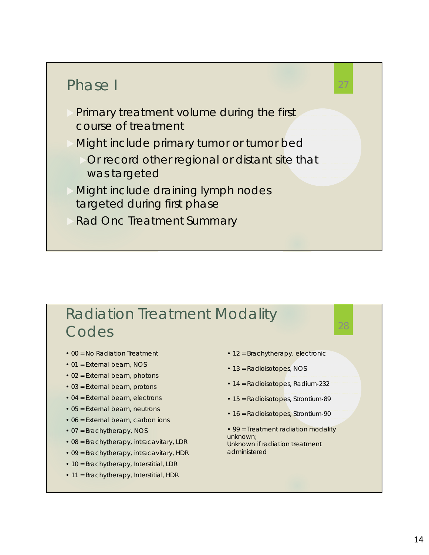#### Phase I

- Primary treatment volume during the first course of treatment
- Might include primary tumor or tumor bed
	- Or record other regional or distant site that was targeted
- Might include draining lymph nodes targeted during first phase
- Rad Onc Treatment Summary

# Radiation Treatment Modality Codes

- 00 = No Radiation Treatment
- 01 = External beam, NOS
- 02 = External beam, photons
- 03 = External beam, protons
- 04 = External beam, electrons
- 05 = External beam, neutrons
- 06 = External beam, carbon ions
- 07 = Brachytherapy, NOS
- 08 = Brachytherapy, intracavitary, LDR
- 09 = Brachytherapy, intracavitary, HDR
- 10 = Brachytherapy, Interstitial, LDR
- 11 = Brachytherapy, Interstitial, HDR

• 12 = Brachytherapy, electronic

27

- 13 = Radioisotopes, NOS
- 14 = Radioisotopes, Radium-232
- 15 = Radioisotopes, Strontium-89
- 16 = Radioisotopes, Strontium-90
- 99 = Treatment radiation modality unknown; Unknown if radiation treatment administered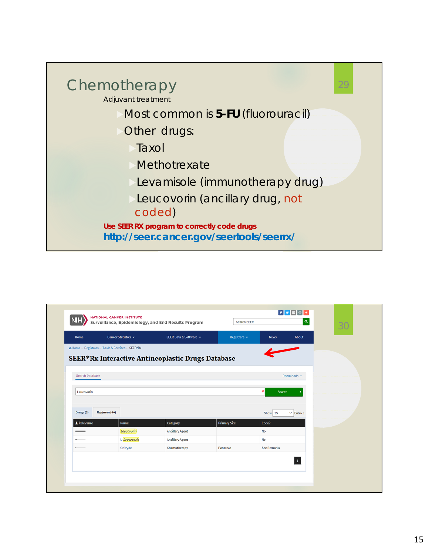

| Home                                             |              | Cancer Statistics - | SEER Data & Software ▼                            | Registrars $\sim$   | <b>News</b>        | <b>About</b>             |  |
|--------------------------------------------------|--------------|---------------------|---------------------------------------------------|---------------------|--------------------|--------------------------|--|
| A Home > Registrars > Tools & Services > SEER*Rx |              |                     |                                                   |                     |                    |                          |  |
|                                                  |              |                     | SEER*Rx Interactive Antineoplastic Drugs Database |                     |                    |                          |  |
|                                                  |              |                     |                                                   |                     |                    |                          |  |
| Search Database                                  |              |                     |                                                   |                     |                    | Downloads -              |  |
| Leucovorin                                       |              |                     |                                                   |                     | ×<br>Search        |                          |  |
|                                                  |              |                     |                                                   |                     |                    |                          |  |
| Drugs (3)                                        | Regimen (40) |                     |                                                   |                     | Show 25            | $\triangleright$ Entries |  |
| ▲ Relevance                                      |              | Name                | Category                                          | <b>Primary Site</b> | Code?              |                          |  |
| $\overline{\phantom{a}}$                         |              | Leucovorin          | <b>Ancillary Agent</b>                            |                     | <b>No</b>          |                          |  |
| -                                                |              | L-Leucovorin        | <b>Ancillary Agent</b>                            |                     | No                 |                          |  |
| <b>Contract Contract</b>                         |              | Onivyde             | Chemotherapy                                      | Pancreas            | <b>See Remarks</b> |                          |  |
|                                                  |              |                     |                                                   |                     |                    | $\mathbf{1}$             |  |
|                                                  |              |                     |                                                   |                     |                    |                          |  |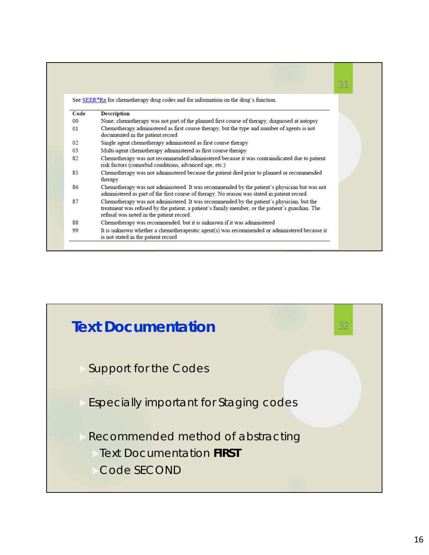| Code           | <b>Description</b>                                                                                                                                                                                                                       |  |
|----------------|------------------------------------------------------------------------------------------------------------------------------------------------------------------------------------------------------------------------------------------|--|
| 0 <sup>0</sup> | None, chemotherapy was not part of the planned first course of therapy; diagnosed at autopsy                                                                                                                                             |  |
| 01             | Chemotherapy administered as first course therapy, but the type and number of agents is not<br>documented in the patient record                                                                                                          |  |
| 02             | Single agent chemotherapy administered as first course therapy                                                                                                                                                                           |  |
| 03             | Multi-agent chemotherapy administered as first course therapy                                                                                                                                                                            |  |
| 82             | Chemotherapy was not recommended/administered because it was contraindicated due to patient<br>risk factors (comorbid conditions, advanced age, etc.)                                                                                    |  |
| 85             | Chemotherapy was not administered because the patient died prior to planned or recommended<br>therapy                                                                                                                                    |  |
| 86             | Chemotherapy was not administered. It was recommended by the patient's physician but was not<br>administered as part of the first course of therapy. No reason was stated in patient record.                                             |  |
| 87             | Chemotherapy was not administered. It was recommended by the patient's physician, but the<br>treatment was refused by the patient, a patient's family member, or the patient's guardian. The<br>refusal was noted in the patient record. |  |
| 88             | Chemotherapy was recommended, but it is unknown if it was administered                                                                                                                                                                   |  |
| 99             | It is unknown whether a chemotherapeutic agent(s) was recommended or administered because it<br>is not stated in the patient record                                                                                                      |  |

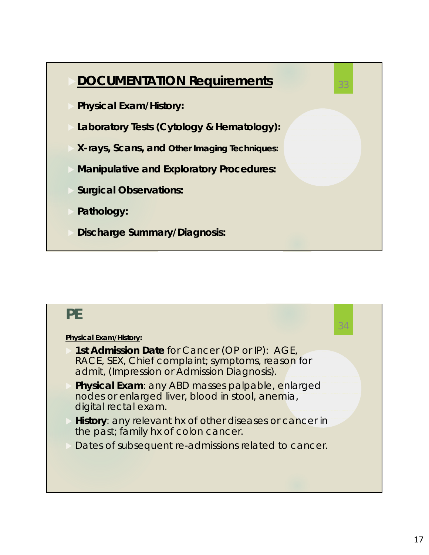

#### **PE**

#### **Physical Exam/History:**

- **1st Admission Date** for Cancer (OP or IP): AGE, RACE, SEX, Chief complaint; symptoms, reason for admit, (Impression or Admission Diagnosis).
- **Physical Exam**: any ABD masses palpable, enlarged nodes or enlarged liver, blood in stool, anemia, digital rectal exam.
- **History**: any relevant hx of other diseases or cancer in the past; family hx of colon cancer.
- Dates of subsequent re-admissions related to cancer.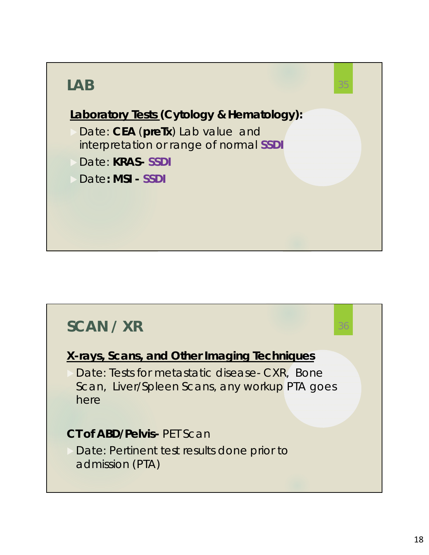

# **SCAN / XR**

#### **X-rays, Scans, and Other Imaging Techniques**

 Date: Tests for metastatic disease- CXR, Bone Scan, Liver/Spleen Scans, any workup PTA goes here

#### **CT of ABD/Pelvis-** PET Scan

 Date: Pertinent test results done prior to admission (PTA)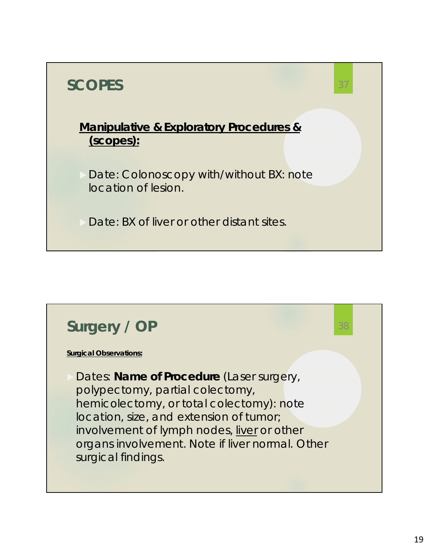

## **Surgery / OP**

**Surgical Observations:**

 Dates: **Name of Procedure** (Laser surgery, polypectomy, partial colectomy, hemicolectomy, or total colectomy): note location, size, and extension of tumor; involvement of lymph nodes, liver or other organs involvement. Note if liver normal. Other surgical findings.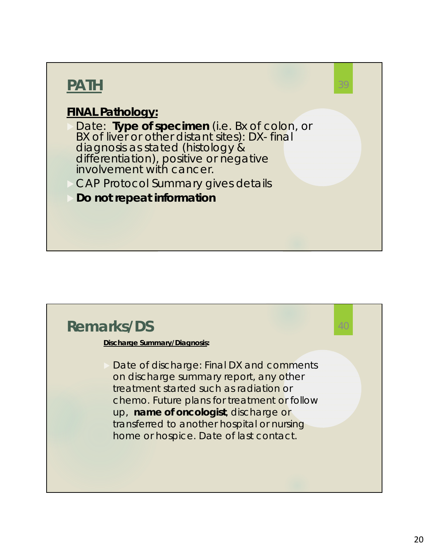# **PATH**

#### **FINAL Pathology:**

 Date: **Type of specimen** (i.e. Bx of colon, or BX of liver or other distant sites): DX- final diagnosis as stated (histology & differentiation), positive or negative involvement with cancer.

39

40

- CAP Protocol Summary gives details
- **Do not repeat information**

### **Remarks/DS**

#### **Discharge Summary/Diagnosis:**

 Date of discharge: Final DX and comments on discharge summary report, any other treatment started such as radiation or chemo. Future plans for treatment or follow up, **name of oncologist**, discharge or transferred to another hospital or nursing home or hospice. Date of last contact.